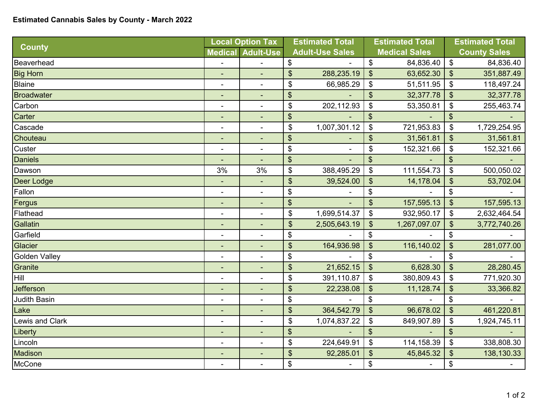## **Estimated Cannabis Sales by County - March 2022**

| <b>County</b>        | <b>Local Option Tax</b>  |                          | <b>Estimated Total</b>       |                        | <b>Estimated Total</b>       |                      | <b>Estimated Total</b>                    |                     |
|----------------------|--------------------------|--------------------------|------------------------------|------------------------|------------------------------|----------------------|-------------------------------------------|---------------------|
|                      |                          | <b>Medical Adult-Use</b> |                              | <b>Adult-Use Sales</b> |                              | <b>Medical Sales</b> |                                           | <b>County Sales</b> |
| Beaverhead           |                          |                          | \$                           |                        | \$                           | 84,836.40            | $\, \, \raisebox{12pt}{$\scriptstyle \$}$ | 84,836.40           |
| <b>Big Horn</b>      | ٠                        | $\blacksquare$           | \$                           | 288,235.19             | $\boldsymbol{\mathsf{S}}$    | 63,652.30            | $\boldsymbol{\mathsf{S}}$                 | 351,887.49          |
| Blaine               | $\blacksquare$           | $\overline{a}$           | $\boldsymbol{\mathsf{\$}}$   | 66,985.29              | \$                           | 51,511.95            | $\boldsymbol{\hat{\varphi}}$              | 118,497.24          |
| Broadwater           | $\overline{a}$           |                          | $\boldsymbol{\$}$            |                        | $\boldsymbol{\hat{\varphi}}$ | 32,377.78            | $\boldsymbol{\mathsf{\$}}$                | 32,377.78           |
| Carbon               |                          | $\blacksquare$           | $\boldsymbol{\mathsf{\$}}$   | 202,112.93             | \$                           | 53,350.81            | \$                                        | 255,463.74          |
| Carter               |                          |                          | $\boldsymbol{\theta}$        |                        | \$                           |                      | \$                                        |                     |
| Cascade              | $\blacksquare$           | $\blacksquare$           | \$                           | 1,007,301.12           | \$                           | 721,953.83           | \$                                        | 1,729,254.95        |
| Chouteau             |                          |                          | $\boldsymbol{\mathsf{S}}$    |                        | \$                           | 31,561.81            | \$                                        | 31,561.81           |
| Custer               | $\overline{\phantom{a}}$ |                          | \$                           |                        | \$                           | 152,321.66           | $\boldsymbol{\mathsf{\$}}$                | 152,321.66          |
| <b>Daniels</b>       |                          |                          | $\boldsymbol{\theta}$        |                        | $\mathfrak{L}$               |                      | \$                                        |                     |
| Dawson               | 3%                       | 3%                       | $\boldsymbol{\mathsf{\$}}$   | 388,495.29             | $\boldsymbol{\mathsf{S}}$    | 111,554.73           | $\boldsymbol{\mathsf{S}}$                 | 500,050.02          |
| Deer Lodge           | $\blacksquare$           | $\blacksquare$           | $\frac{1}{2}$                | 39,524.00              | $\frac{1}{2}$                | 14,178.04            | \$                                        | 53,702.04           |
| Fallon               |                          |                          | \$                           |                        | \$                           |                      | $\boldsymbol{\mathsf{\$}}$                |                     |
| Fergus               | ٠                        |                          | $\boldsymbol{\hat{\varphi}}$ |                        | $\mathfrak{S}$               | 157,595.13           | $\boldsymbol{\mathsf{S}}$                 | 157,595.13          |
| Flathead             |                          | $\blacksquare$           | \$                           | 1,699,514.37           | \$                           | 932,950.17           | \$                                        | 2,632,464.54        |
| Gallatin             | $\overline{\phantom{a}}$ |                          | $\boldsymbol{\theta}$        | 2,505,643.19           | $\boldsymbol{\theta}$        | 1,267,097.07         | \$                                        | 3,772,740.26        |
| Garfield             | $\blacksquare$           | $\blacksquare$           | \$                           |                        | \$                           |                      | $\boldsymbol{\mathsf{\$}}$                |                     |
| Glacier              |                          |                          | \$                           | 164,936.98             | $\boldsymbol{\mathsf{S}}$    | 116,140.02           | \$                                        | 281,077.00          |
| <b>Golden Valley</b> |                          | $\blacksquare$           | \$                           |                        | \$                           |                      | \$                                        |                     |
| Granite              | $\overline{\phantom{a}}$ |                          | $\mathfrak{S}$               | 21,652.15              | $\mathfrak{S}$               | 6,628.30             | $\boldsymbol{\mathsf{S}}$                 | 28,280.45           |
| Hill                 | $\overline{\phantom{a}}$ | $\blacksquare$           | $\boldsymbol{\theta}$        | 391,110.87             | $\$\$                        | 380,809.43           | $\boldsymbol{\hat{\varphi}}$              | 771,920.30          |
| Jefferson            | $\blacksquare$           | $\blacksquare$           | $\boldsymbol{\theta}$        | 22,238.08              | $\boldsymbol{\hat{\varphi}}$ | 11,128.74            | $\frac{1}{2}$                             | 33,366.82           |
| <b>Judith Basin</b>  | $\blacksquare$           | $\blacksquare$           | $\boldsymbol{\$}$            |                        | \$                           |                      | $\boldsymbol{\mathsf{\$}}$                |                     |
| Lake                 | $\blacksquare$           | $\blacksquare$           | $\frac{1}{2}$                | 364,542.79             | $\boldsymbol{\mathsf{\$}}$   | 96,678.02            | $\frac{1}{2}$                             | 461,220.81          |
| Lewis and Clark      | $\overline{a}$           | $\blacksquare$           | \$                           | 1,074,837.22           | \$                           | 849,907.89           | \$                                        | 1,924,745.11        |
| Liberty              | ٠                        | $\blacksquare$           | $\boldsymbol{\hat{\phi}}$    |                        | $\boldsymbol{\mathsf{S}}$    |                      | $\boldsymbol{\mathsf{S}}$                 |                     |
| Lincoln              | $\blacksquare$           | $\blacksquare$           | $\boldsymbol{\theta}$        | 224,649.91             | $\$\$                        | 114,158.39           | $\frac{1}{2}$                             | 338,808.30          |
| Madison              |                          |                          | $\boldsymbol{\mathsf{\$}}$   | 92,285.01              | $\boldsymbol{\theta}$        | 45,845.32            | \$                                        | 138,130.33          |
| McCone               |                          | $\blacksquare$           | \$                           |                        | \$                           |                      | \$                                        |                     |